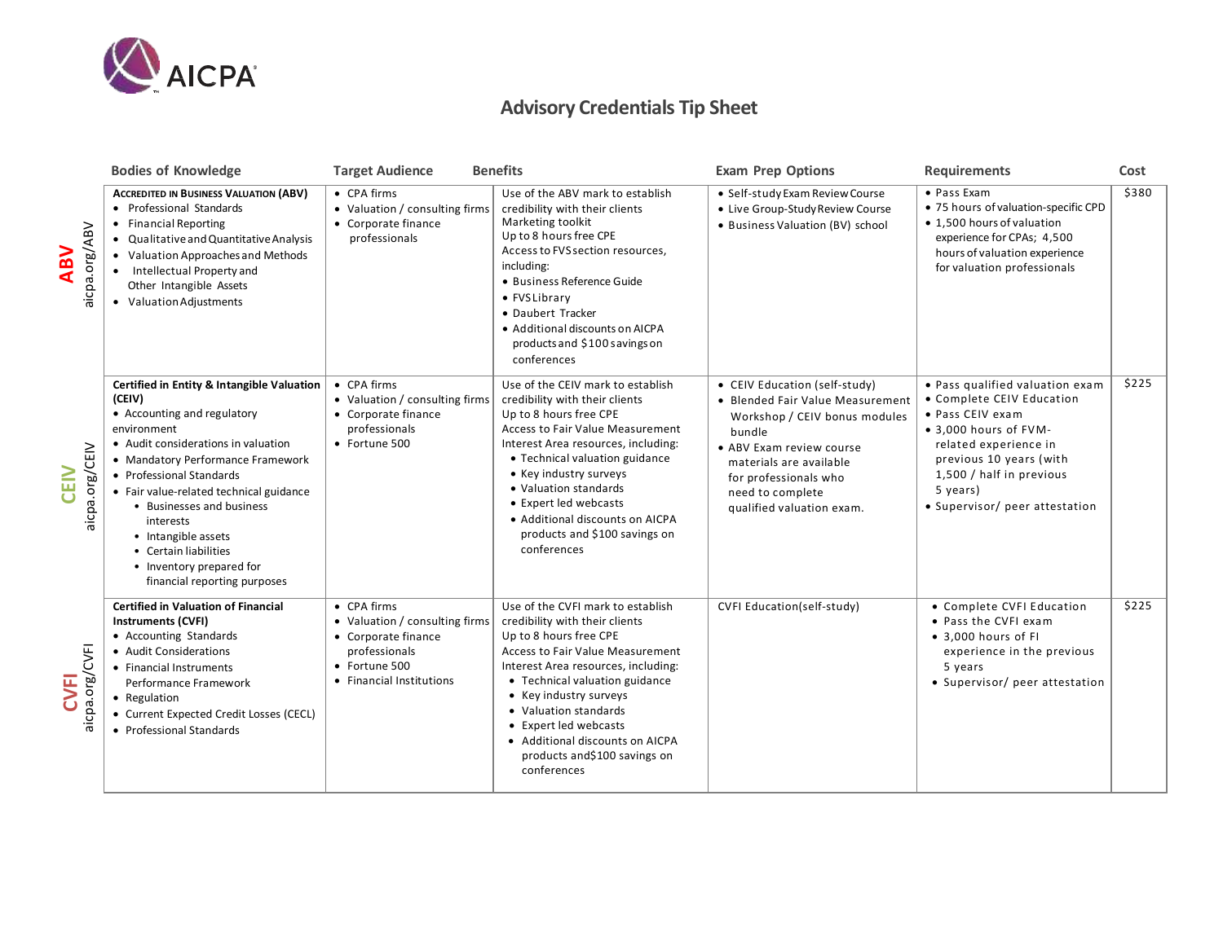

## **Advisory Credentials Tip Sheet**

|                               | <b>Bodies of Knowledge</b>                                                                                                                                                                                                                                                                                                                                                                                  | <b>Target Audience</b>                                                                                                             | <b>Benefits</b>                                                                                                                                                                                                                                                                                                                                                                 | <b>Exam Prep Options</b>                                                                                                                                                                                                                      | <b>Requirements</b>                                                                                                                                                                                                                     | Cost  |
|-------------------------------|-------------------------------------------------------------------------------------------------------------------------------------------------------------------------------------------------------------------------------------------------------------------------------------------------------------------------------------------------------------------------------------------------------------|------------------------------------------------------------------------------------------------------------------------------------|---------------------------------------------------------------------------------------------------------------------------------------------------------------------------------------------------------------------------------------------------------------------------------------------------------------------------------------------------------------------------------|-----------------------------------------------------------------------------------------------------------------------------------------------------------------------------------------------------------------------------------------------|-----------------------------------------------------------------------------------------------------------------------------------------------------------------------------------------------------------------------------------------|-------|
| aicpa.org/ABV<br><b>ABV</b>   | <b>ACCREDITED IN BUSINESS VALUATION (ABV)</b><br>• Professional Standards<br>• Financial Reporting<br>• Qualitative and Quantitative Analysis<br>• Valuation Approaches and Methods<br>Intellectual Property and<br>Other Intangible Assets<br>• Valuation Adjustments                                                                                                                                      | • CPA firms<br>• Valuation / consulting firms<br>• Corporate finance<br>professionals                                              | Use of the ABV mark to establish<br>credibility with their clients<br>Marketing toolkit<br>Up to 8 hours free CPE<br>Access to FVS section resources,<br>including:<br>• Business Reference Guide<br>• FVSLibrary<br>• Daubert Tracker<br>• Additional discounts on AICPA<br>products and \$100 savings on<br>conferences                                                       | · Self-study Exam Review Course<br>• Live Group-Study Review Course<br>• Business Valuation (BV) school                                                                                                                                       | • Pass Exam<br>• 75 hours of valuation-specific CPD<br>• 1,500 hours of valuation<br>experience for CPAs; 4,500<br>hours of valuation experience<br>for valuation professionals                                                         | \$380 |
| aicpa.org/CEIV<br><b>CEIV</b> | Certified in Entity & Intangible Valuation<br>(CEIV)<br>• Accounting and regulatory<br>environment<br>• Audit considerations in valuation<br>• Mandatory Performance Framework<br>• Professional Standards<br>• Fair value-related technical guidance<br>• Businesses and business<br>interests<br>• Intangible assets<br>• Certain liabilities<br>• Inventory prepared for<br>financial reporting purposes | • CPA firms<br>• Valuation / consulting firms<br>• Corporate finance<br>professionals<br>• Fortune 500                             | Use of the CEIV mark to establish<br>credibility with their clients<br>Up to 8 hours free CPE<br>Access to Fair Value Measurement<br>Interest Area resources, including:<br>• Technical valuation guidance<br>• Key industry surveys<br>• Valuation standards<br>• Expert led webcasts<br>• Additional discounts on AICPA<br>products and \$100 savings on<br>conferences       | • CEIV Education (self-study)<br>• Blended Fair Value Measurement<br>Workshop / CEIV bonus modules<br>bundle<br>• ABV Exam review course<br>materials are available<br>for professionals who<br>need to complete<br>qualified valuation exam. | • Pass qualified valuation exam<br>• Complete CEIV Education<br>• Pass CEIV exam<br>• 3,000 hours of FVM-<br>related experience in<br>previous 10 years (with<br>1,500 / half in previous<br>5 years)<br>• Supervisor/ peer attestation | \$225 |
| aicpa.org/CVFI<br><b>CVFI</b> | <b>Certified in Valuation of Financial</b><br><b>Instruments (CVFI)</b><br>• Accounting Standards<br>• Audit Considerations<br>• Financial Instruments<br>Performance Framework<br>• Regulation<br>• Current Expected Credit Losses (CECL)<br>• Professional Standards                                                                                                                                      | • CPA firms<br>• Valuation / consulting firms<br>• Corporate finance<br>professionals<br>• Fortune 500<br>• Financial Institutions | Use of the CVFI mark to establish<br>credibility with their clients<br>Up to 8 hours free CPE<br><b>Access to Fair Value Measurement</b><br>Interest Area resources, including:<br>• Technical valuation guidance<br>• Key industry surveys<br>• Valuation standards<br>• Expert led webcasts<br>• Additional discounts on AICPA<br>products and\$100 savings on<br>conferences | CVFI Education(self-study)                                                                                                                                                                                                                    | • Complete CVFI Education<br>• Pass the CVFI exam<br>• 3,000 hours of FI<br>experience in the previous<br>5 years<br>• Supervisor/ peer attestation                                                                                     | \$225 |